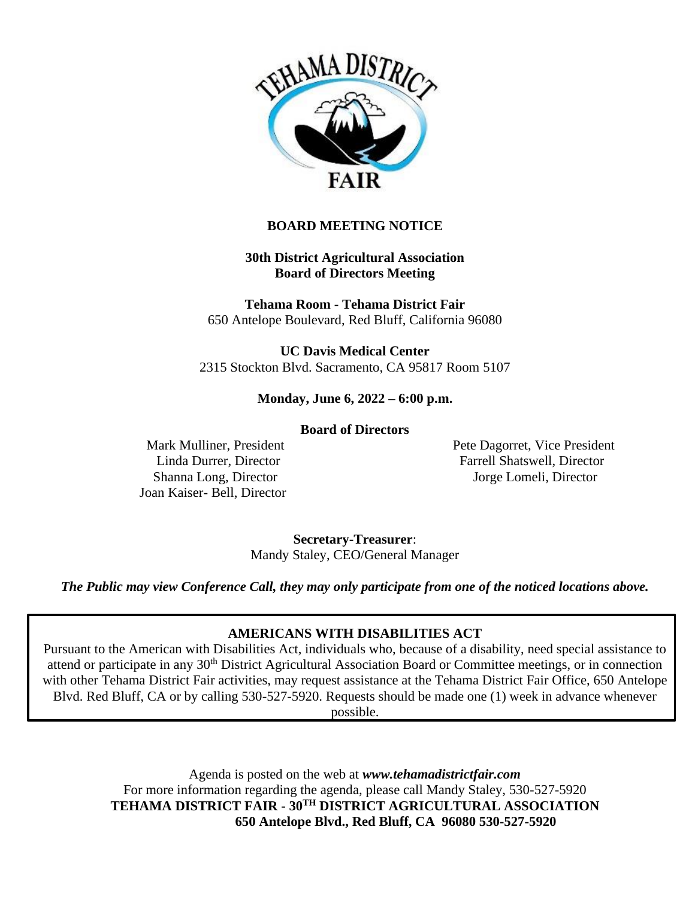

## **BOARD MEETING NOTICE**

**30th District Agricultural Association Board of Directors Meeting**

**Tehama Room - Tehama District Fair** 650 Antelope Boulevard, Red Bluff, California 96080

**UC Davis Medical Center** 2315 Stockton Blvd. Sacramento, CA 95817 Room 5107

### **Monday, June 6, 2022 – 6:00 p.m.**

#### **Board of Directors**

Joan Kaiser- Bell, Director

Mark Mulliner, President **Pete Dagoret, Vice President** Pete Dagorret, Vice President Linda Durrer, Director Farrell Shatswell, Director Shanna Long, Director **Iorge Lomeli**, Director **Jorge Lomeli**, Director

> **Secretary-Treasurer**: Mandy Staley, CEO/General Manager

*The Public may view Conference Call, they may only participate from one of the noticed locations above.*

## **AMERICANS WITH DISABILITIES ACT**

Pursuant to the American with Disabilities Act, individuals who, because of a disability, need special assistance to attend or participate in any 30<sup>th</sup> District Agricultural Association Board or Committee meetings, or in connection with other Tehama District Fair activities, may request assistance at the Tehama District Fair Office, 650 Antelope Blvd. Red Bluff, CA or by calling 530-527-5920. Requests should be made one (1) week in advance whenever possible.

> Agenda is posted on the web at *www.tehamadistrictfair.com* For more information regarding the agenda, please call Mandy Staley, 530-527-5920 **TEHAMA DISTRICT FAIR - 30TH DISTRICT AGRICULTURAL ASSOCIATION 650 Antelope Blvd., Red Bluff, CA 96080 530-527-5920**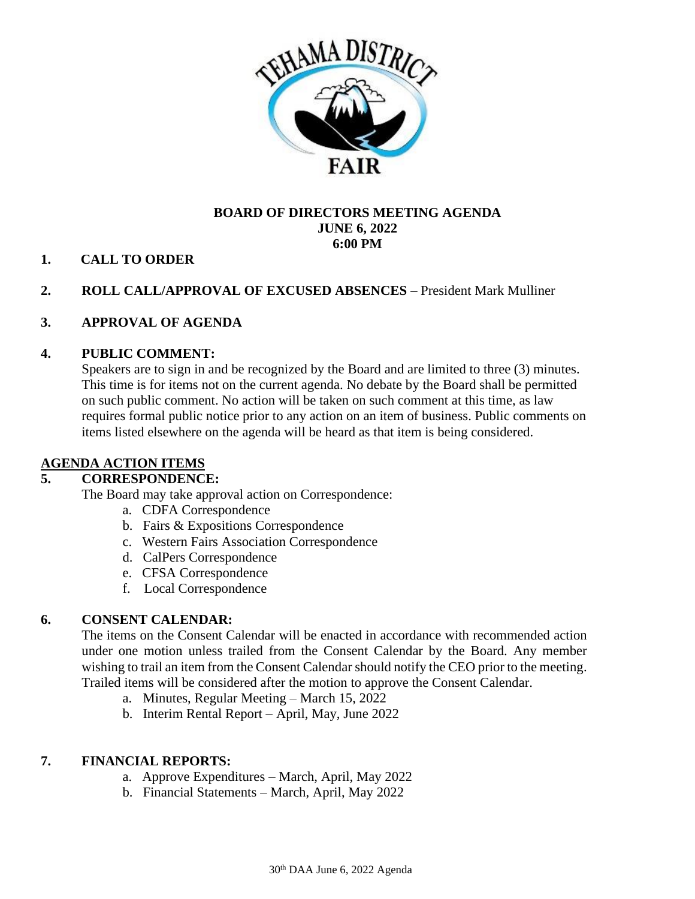

## **BOARD OF DIRECTORS MEETING AGENDA JUNE 6, 2022 6:00 PM**

## **1. CALL TO ORDER**

## **2. ROLL CALL/APPROVAL OF EXCUSED ABSENCES** – President Mark Mulliner

## **3. APPROVAL OF AGENDA**

### **4. PUBLIC COMMENT:**

Speakers are to sign in and be recognized by the Board and are limited to three (3) minutes. This time is for items not on the current agenda. No debate by the Board shall be permitted on such public comment. No action will be taken on such comment at this time, as law requires formal public notice prior to any action on an item of business. Public comments on items listed elsewhere on the agenda will be heard as that item is being considered.

## **AGENDA ACTION ITEMS**

#### **5. CORRESPONDENCE:**

The Board may take approval action on Correspondence:

- a. CDFA Correspondence
- b. Fairs & Expositions Correspondence
- c. Western Fairs Association Correspondence
- d. CalPers Correspondence
- e. CFSA Correspondence
- f. Local Correspondence

#### **6. CONSENT CALENDAR:**

The items on the Consent Calendar will be enacted in accordance with recommended action under one motion unless trailed from the Consent Calendar by the Board. Any member wishing to trail an item from the Consent Calendar should notify the CEO prior to the meeting. Trailed items will be considered after the motion to approve the Consent Calendar.

- a. Minutes, Regular Meeting March 15, 2022
- b. Interim Rental Report April, May, June 2022

#### **7. FINANCIAL REPORTS:**

- a. Approve Expenditures March, April, May 2022
- b. Financial Statements March, April, May 2022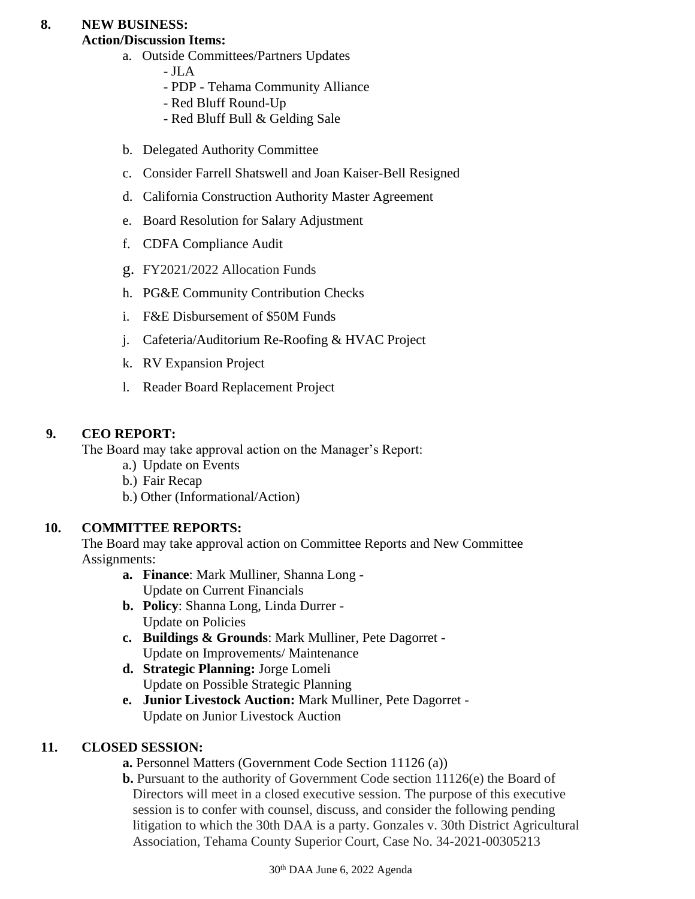# **8. NEW BUSINESS:**

# **Action/Discussion Items:**

- a. Outside Committees/Partners Updates
	- JLA
		- PDP Tehama Community Alliance
		- Red Bluff Round-Up
		- Red Bluff Bull & Gelding Sale
- b. Delegated Authority Committee
- c. Consider Farrell Shatswell and Joan Kaiser-Bell Resigned
- d. California Construction Authority Master Agreement
- e. Board Resolution for Salary Adjustment
- f. CDFA Compliance Audit
- g. FY2021/2022 Allocation Funds
- h. PG&E Community Contribution Checks
- i. F&E Disbursement of \$50M Funds
- j. Cafeteria/Auditorium Re-Roofing & HVAC Project
- k. RV Expansion Project
- l. Reader Board Replacement Project

# **9. CEO REPORT:**

The Board may take approval action on the Manager's Report:

- a.) Update on Events
- b.) Fair Recap
- b.) Other (Informational/Action)

# **10. COMMITTEE REPORTS:**

The Board may take approval action on Committee Reports and New Committee Assignments:

- **a. Finance**: Mark Mulliner, Shanna Long Update on Current Financials
- **b. Policy**: Shanna Long, Linda Durrer Update on Policies
- **c. Buildings & Grounds**: Mark Mulliner, Pete Dagorret Update on Improvements/ Maintenance
- **d. Strategic Planning:** Jorge Lomeli Update on Possible Strategic Planning
- **e. Junior Livestock Auction:** Mark Mulliner, Pete Dagorret Update on Junior Livestock Auction

# **11. CLOSED SESSION:**

**a.** Personnel Matters (Government Code Section 11126 (a))

**b.** Pursuant to the authority of Government Code section 11126(e) the Board of Directors will meet in a closed executive session. The purpose of this executive session is to confer with counsel, discuss, and consider the following pending litigation to which the 30th DAA is a party. Gonzales v. 30th District Agricultural Association, Tehama County Superior Court, Case No. 34-2021-00305213